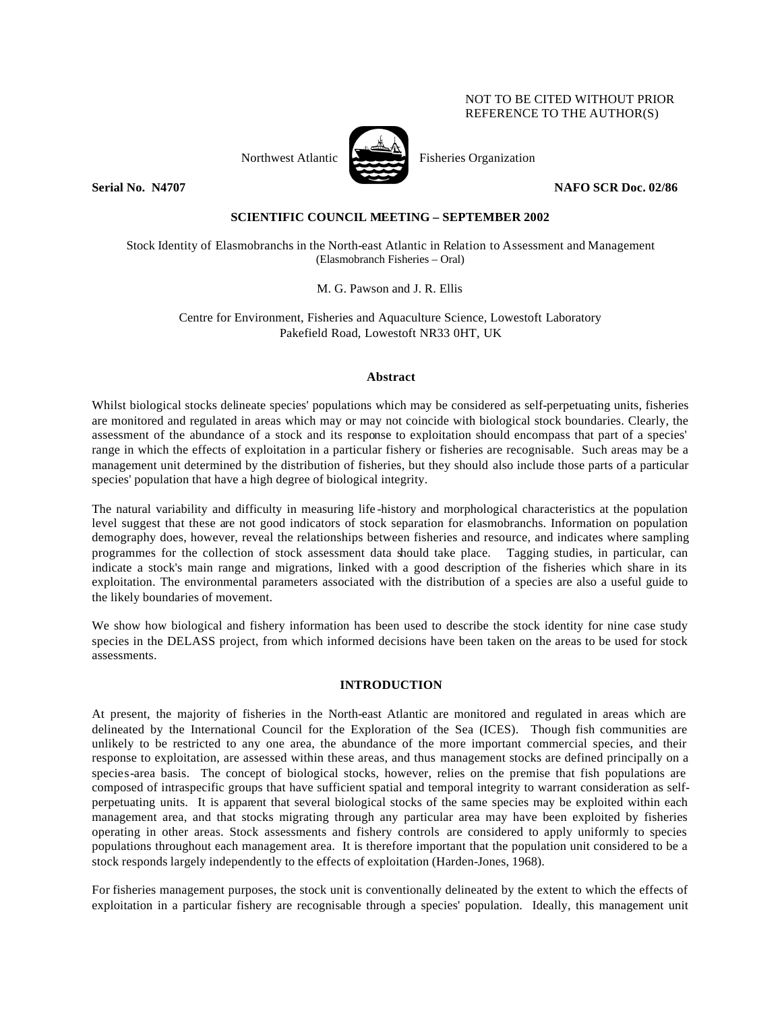## NOT TO BE CITED WITHOUT PRIOR REFERENCE TO THE AUTHOR(S)



Northwest Atlantic Fisheries Organization

**Serial No. N4707 NAFO SCR Doc. 02/86**

# **SCIENTIFIC COUNCIL MEETING – SEPTEMBER 2002**

Stock Identity of Elasmobranchs in the North-east Atlantic in Relation to Assessment and Management (Elasmobranch Fisheries – Oral)

M. G. Pawson and J. R. Ellis

Centre for Environment, Fisheries and Aquaculture Science, Lowestoft Laboratory Pakefield Road, Lowestoft NR33 0HT, UK

### **Abstract**

Whilst biological stocks delineate species' populations which may be considered as self-perpetuating units, fisheries are monitored and regulated in areas which may or may not coincide with biological stock boundaries. Clearly, the assessment of the abundance of a stock and its response to exploitation should encompass that part of a species' range in which the effects of exploitation in a particular fishery or fisheries are recognisable. Such areas may be a management unit determined by the distribution of fisheries, but they should also include those parts of a particular species' population that have a high degree of biological integrity.

The natural variability and difficulty in measuring life -history and morphological characteristics at the population level suggest that these are not good indicators of stock separation for elasmobranchs. Information on population demography does, however, reveal the relationships between fisheries and resource, and indicates where sampling programmes for the collection of stock assessment data should take place. Tagging studies, in particular, can indicate a stock's main range and migrations, linked with a good description of the fisheries which share in its exploitation. The environmental parameters associated with the distribution of a species are also a useful guide to the likely boundaries of movement.

We show how biological and fishery information has been used to describe the stock identity for nine case study species in the DELASS project, from which informed decisions have been taken on the areas to be used for stock assessments.

### **INTRODUCTION**

At present, the majority of fisheries in the North-east Atlantic are monitored and regulated in areas which are delineated by the International Council for the Exploration of the Sea (ICES). Though fish communities are unlikely to be restricted to any one area, the abundance of the more important commercial species, and their response to exploitation, are assessed within these areas, and thus management stocks are defined principally on a species-area basis. The concept of biological stocks, however, relies on the premise that fish populations are composed of intraspecific groups that have sufficient spatial and temporal integrity to warrant consideration as selfperpetuating units. It is apparent that several biological stocks of the same species may be exploited within each management area, and that stocks migrating through any particular area may have been exploited by fisheries operating in other areas. Stock assessments and fishery controls are considered to apply uniformly to species populations throughout each management area. It is therefore important that the population unit considered to be a stock responds largely independently to the effects of exploitation (Harden-Jones, 1968).

For fisheries management purposes, the stock unit is conventionally delineated by the extent to which the effects of exploitation in a particular fishery are recognisable through a species' population. Ideally, this management unit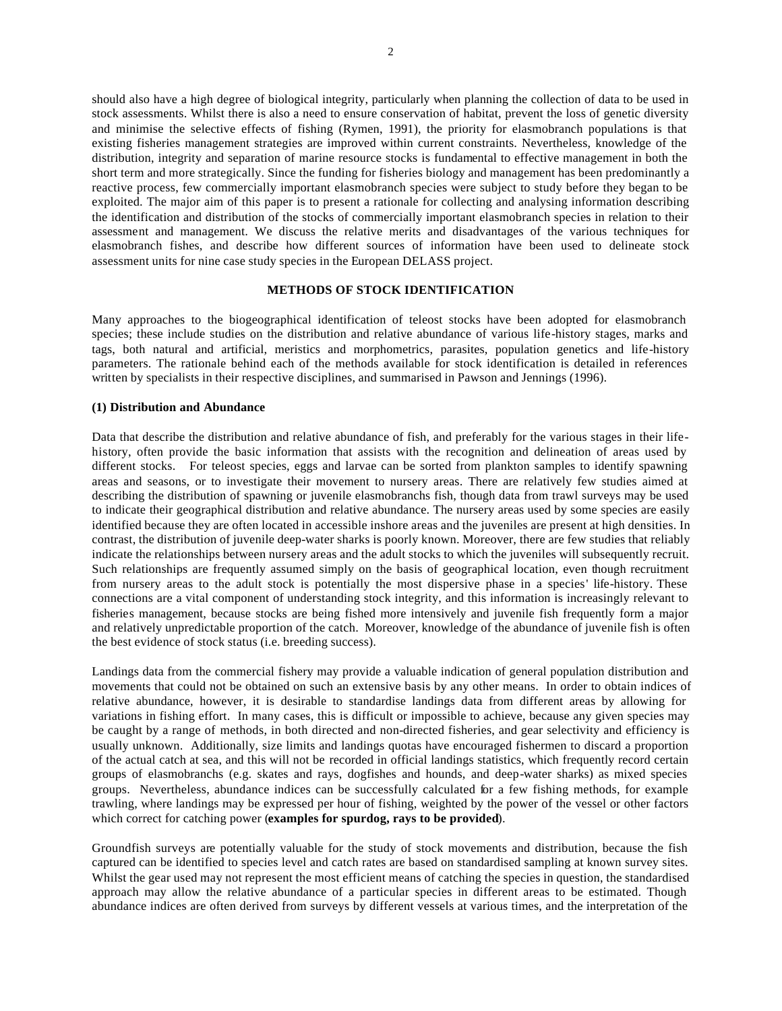should also have a high degree of biological integrity, particularly when planning the collection of data to be used in stock assessments. Whilst there is also a need to ensure conservation of habitat, prevent the loss of genetic diversity and minimise the selective effects of fishing (Rymen, 1991), the priority for elasmobranch populations is that existing fisheries management strategies are improved within current constraints. Nevertheless, knowledge of the distribution, integrity and separation of marine resource stocks is fundamental to effective management in both the short term and more strategically. Since the funding for fisheries biology and management has been predominantly a reactive process, few commercially important elasmobranch species were subject to study before they began to be exploited. The major aim of this paper is to present a rationale for collecting and analysing information describing the identification and distribution of the stocks of commercially important elasmobranch species in relation to their assessment and management. We discuss the relative merits and disadvantages of the various techniques for elasmobranch fishes, and describe how different sources of information have been used to delineate stock assessment units for nine case study species in the European DELASS project.

## **METHODS OF STOCK IDENTIFICATION**

Many approaches to the biogeographical identification of teleost stocks have been adopted for elasmobranch species; these include studies on the distribution and relative abundance of various life-history stages, marks and tags, both natural and artificial, meristics and morphometrics, parasites, population genetics and life-history parameters. The rationale behind each of the methods available for stock identification is detailed in references written by specialists in their respective disciplines, and summarised in Pawson and Jennings (1996).

#### **(1) Distribution and Abundance**

Data that describe the distribution and relative abundance of fish, and preferably for the various stages in their lifehistory, often provide the basic information that assists with the recognition and delineation of areas used by different stocks. For teleost species, eggs and larvae can be sorted from plankton samples to identify spawning areas and seasons, or to investigate their movement to nursery areas. There are relatively few studies aimed at describing the distribution of spawning or juvenile elasmobranchs fish, though data from trawl surveys may be used to indicate their geographical distribution and relative abundance. The nursery areas used by some species are easily identified because they are often located in accessible inshore areas and the juveniles are present at high densities. In contrast, the distribution of juvenile deep-water sharks is poorly known. Moreover, there are few studies that reliably indicate the relationships between nursery areas and the adult stocks to which the juveniles will subsequently recruit. Such relationships are frequently assumed simply on the basis of geographical location, even though recruitment from nursery areas to the adult stock is potentially the most dispersive phase in a species' life-history. These connections are a vital component of understanding stock integrity, and this information is increasingly relevant to fisheries management, because stocks are being fished more intensively and juvenile fish frequently form a major and relatively unpredictable proportion of the catch. Moreover, knowledge of the abundance of juvenile fish is often the best evidence of stock status (i.e. breeding success).

Landings data from the commercial fishery may provide a valuable indication of general population distribution and movements that could not be obtained on such an extensive basis by any other means. In order to obtain indices of relative abundance, however, it is desirable to standardise landings data from different areas by allowing for variations in fishing effort. In many cases, this is difficult or impossible to achieve, because any given species may be caught by a range of methods, in both directed and non-directed fisheries, and gear selectivity and efficiency is usually unknown. Additionally, size limits and landings quotas have encouraged fishermen to discard a proportion of the actual catch at sea, and this will not be recorded in official landings statistics, which frequently record certain groups of elasmobranchs (e.g. skates and rays, dogfishes and hounds, and deep-water sharks) as mixed species groups. Nevertheless, abundance indices can be successfully calculated for a few fishing methods, for example trawling, where landings may be expressed per hour of fishing, weighted by the power of the vessel or other factors which correct for catching power (**examples for spurdog, rays to be provided**).

Groundfish surveys are potentially valuable for the study of stock movements and distribution, because the fish captured can be identified to species level and catch rates are based on standardised sampling at known survey sites. Whilst the gear used may not represent the most efficient means of catching the species in question, the standardised approach may allow the relative abundance of a particular species in different areas to be estimated. Though abundance indices are often derived from surveys by different vessels at various times, and the interpretation of the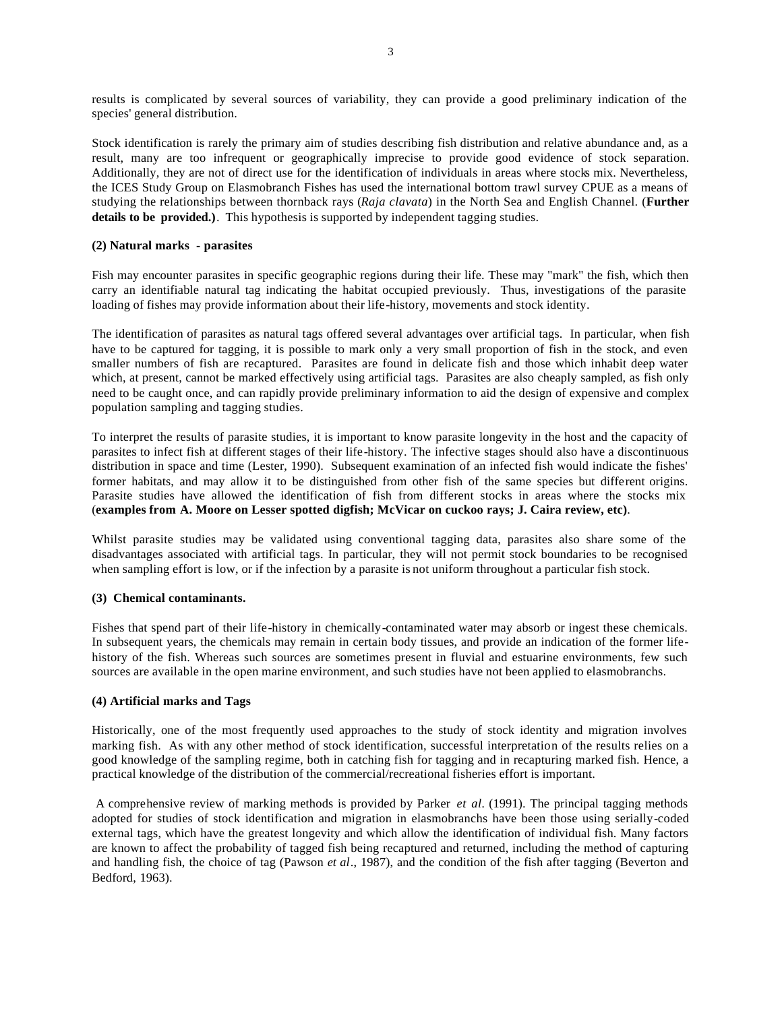results is complicated by several sources of variability, they can provide a good preliminary indication of the species' general distribution.

Stock identification is rarely the primary aim of studies describing fish distribution and relative abundance and, as a result, many are too infrequent or geographically imprecise to provide good evidence of stock separation. Additionally, they are not of direct use for the identification of individuals in areas where stocks mix. Nevertheless, the ICES Study Group on Elasmobranch Fishes has used the international bottom trawl survey CPUE as a means of studying the relationships between thornback rays (*Raja clavata*) in the North Sea and English Channel. (**Further details to be provided.)**. This hypothesis is supported by independent tagging studies.

## **(2) Natural marks - parasites**

Fish may encounter parasites in specific geographic regions during their life. These may "mark" the fish, which then carry an identifiable natural tag indicating the habitat occupied previously. Thus, investigations of the parasite loading of fishes may provide information about their life-history, movements and stock identity.

The identification of parasites as natural tags offered several advantages over artificial tags. In particular, when fish have to be captured for tagging, it is possible to mark only a very small proportion of fish in the stock, and even smaller numbers of fish are recaptured. Parasites are found in delicate fish and those which inhabit deep water which, at present, cannot be marked effectively using artificial tags. Parasites are also cheaply sampled, as fish only need to be caught once, and can rapidly provide preliminary information to aid the design of expensive and complex population sampling and tagging studies.

To interpret the results of parasite studies, it is important to know parasite longevity in the host and the capacity of parasites to infect fish at different stages of their life-history. The infective stages should also have a discontinuous distribution in space and time (Lester, 1990). Subsequent examination of an infected fish would indicate the fishes' former habitats, and may allow it to be distinguished from other fish of the same species but different origins. Parasite studies have allowed the identification of fish from different stocks in areas where the stocks mix (**examples from A. Moore on Lesser spotted digfish; McVicar on cuckoo rays; J. Caira review, etc)**.

Whilst parasite studies may be validated using conventional tagging data, parasites also share some of the disadvantages associated with artificial tags. In particular, they will not permit stock boundaries to be recognised when sampling effort is low, or if the infection by a parasite is not uniform throughout a particular fish stock.

#### **(3) Chemical contaminants.**

Fishes that spend part of their life-history in chemically-contaminated water may absorb or ingest these chemicals. In subsequent years, the chemicals may remain in certain body tissues, and provide an indication of the former lifehistory of the fish. Whereas such sources are sometimes present in fluvial and estuarine environments, few such sources are available in the open marine environment, and such studies have not been applied to elasmobranchs.

## **(4) Artificial marks and Tags**

Historically, one of the most frequently used approaches to the study of stock identity and migration involves marking fish. As with any other method of stock identification, successful interpretation of the results relies on a good knowledge of the sampling regime, both in catching fish for tagging and in recapturing marked fish. Hence, a practical knowledge of the distribution of the commercial/recreational fisheries effort is important.

 A comprehensive review of marking methods is provided by Parker *et al.* (1991). The principal tagging methods adopted for studies of stock identification and migration in elasmobranchs have been those using serially-coded external tags, which have the greatest longevity and which allow the identification of individual fish. Many factors are known to affect the probability of tagged fish being recaptured and returned, including the method of capturing and handling fish, the choice of tag (Pawson *et al*., 1987), and the condition of the fish after tagging (Beverton and Bedford, 1963).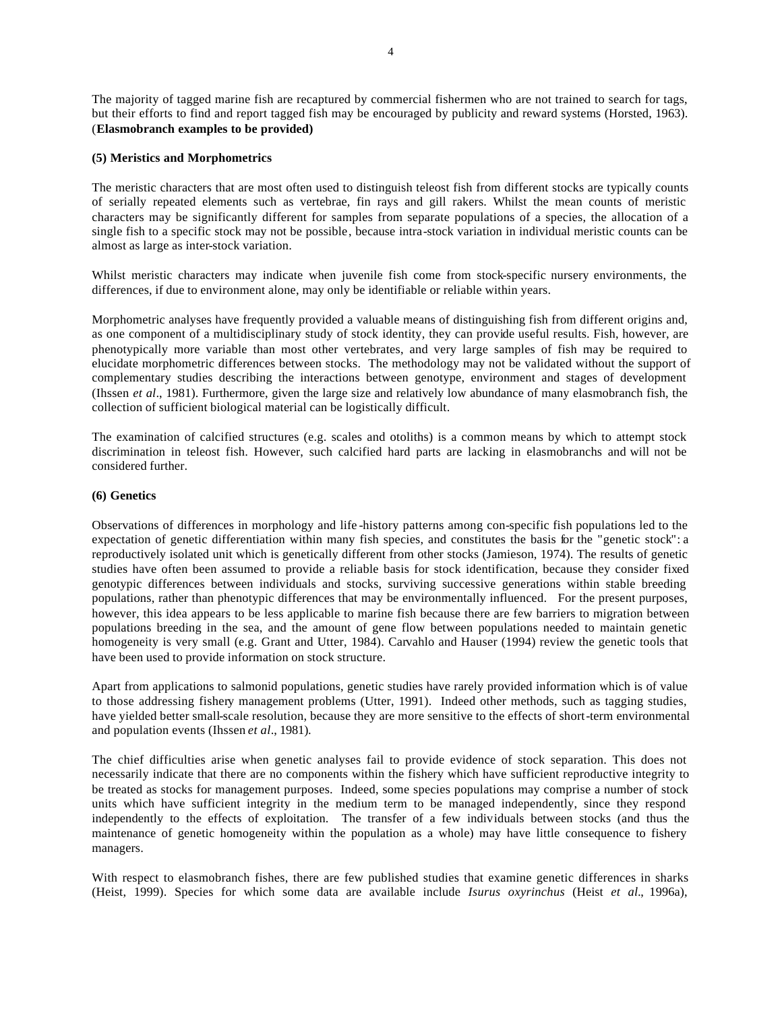The majority of tagged marine fish are recaptured by commercial fishermen who are not trained to search for tags, but their efforts to find and report tagged fish may be encouraged by publicity and reward systems (Horsted, 1963). (**Elasmobranch examples to be provided)**

### **(5) Meristics and Morphometrics**

The meristic characters that are most often used to distinguish teleost fish from different stocks are typically counts of serially repeated elements such as vertebrae, fin rays and gill rakers. Whilst the mean counts of meristic characters may be significantly different for samples from separate populations of a species, the allocation of a single fish to a specific stock may not be possible, because intra-stock variation in individual meristic counts can be almost as large as inter-stock variation.

Whilst meristic characters may indicate when juvenile fish come from stock-specific nursery environments, the differences, if due to environment alone, may only be identifiable or reliable within years.

Morphometric analyses have frequently provided a valuable means of distinguishing fish from different origins and, as one component of a multidisciplinary study of stock identity, they can provide useful results. Fish, however, are phenotypically more variable than most other vertebrates, and very large samples of fish may be required to elucidate morphometric differences between stocks. The methodology may not be validated without the support of complementary studies describing the interactions between genotype, environment and stages of development (Ihssen *et al*., 1981). Furthermore, given the large size and relatively low abundance of many elasmobranch fish, the collection of sufficient biological material can be logistically difficult.

The examination of calcified structures (e.g. scales and otoliths) is a common means by which to attempt stock discrimination in teleost fish. However, such calcified hard parts are lacking in elasmobranchs and will not be considered further.

### **(6) Genetics**

Observations of differences in morphology and life -history patterns among con-specific fish populations led to the expectation of genetic differentiation within many fish species, and constitutes the basis for the "genetic stock": a reproductively isolated unit which is genetically different from other stocks (Jamieson, 1974). The results of genetic studies have often been assumed to provide a reliable basis for stock identification, because they consider fixed genotypic differences between individuals and stocks, surviving successive generations within stable breeding populations, rather than phenotypic differences that may be environmentally influenced. For the present purposes, however, this idea appears to be less applicable to marine fish because there are few barriers to migration between populations breeding in the sea, and the amount of gene flow between populations needed to maintain genetic homogeneity is very small (e.g. Grant and Utter, 1984). Carvahlo and Hauser (1994) review the genetic tools that have been used to provide information on stock structure.

Apart from applications to salmonid populations, genetic studies have rarely provided information which is of value to those addressing fishery management problems (Utter, 1991). Indeed other methods, such as tagging studies, have yielded better small-scale resolution, because they are more sensitive to the effects of short-term environmental and population events (Ihssen *et al*., 1981).

The chief difficulties arise when genetic analyses fail to provide evidence of stock separation. This does not necessarily indicate that there are no components within the fishery which have sufficient reproductive integrity to be treated as stocks for management purposes. Indeed, some species populations may comprise a number of stock units which have sufficient integrity in the medium term to be managed independently, since they respond independently to the effects of exploitation. The transfer of a few individuals between stocks (and thus the maintenance of genetic homogeneity within the population as a whole) may have little consequence to fishery managers.

With respect to elasmobranch fishes, there are few published studies that examine genetic differences in sharks (Heist, 1999). Species for which some data are available include *Isurus oxyrinchus* (Heist *et al.*, 1996a),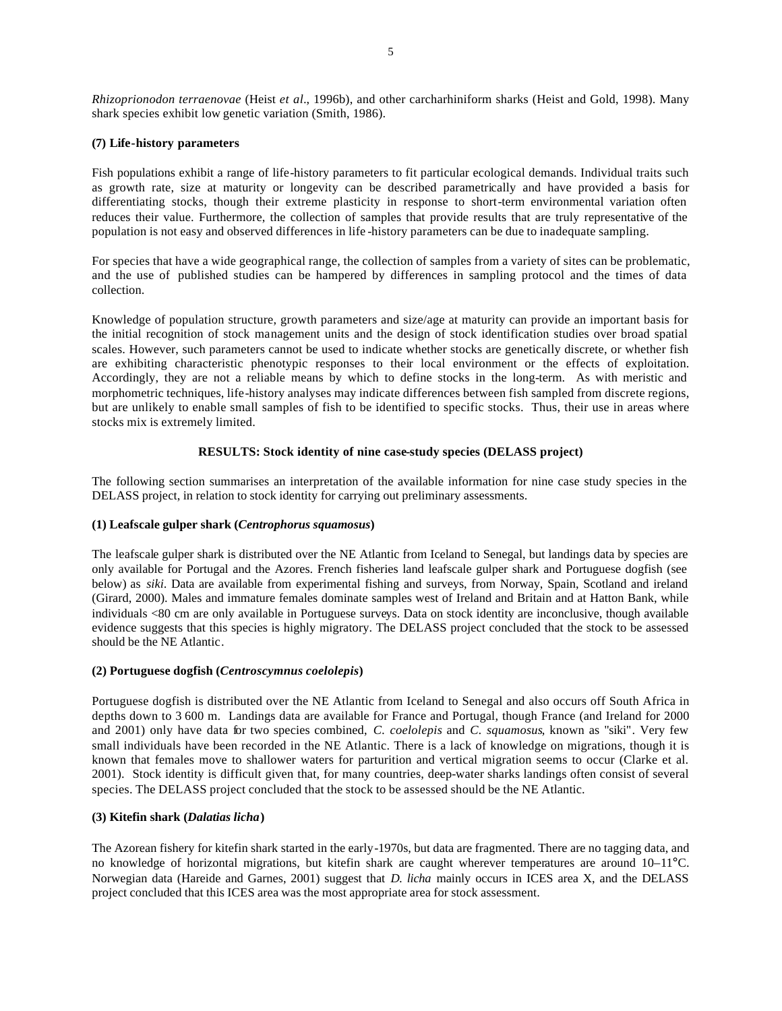*Rhizoprionodon terraenovae* (Heist *et al.*, 1996b), and other carcharhiniform sharks (Heist and Gold, 1998). Many shark species exhibit low genetic variation (Smith, 1986).

### **(7) Life-history parameters**

Fish populations exhibit a range of life-history parameters to fit particular ecological demands. Individual traits such as growth rate, size at maturity or longevity can be described parametrically and have provided a basis for differentiating stocks, though their extreme plasticity in response to short-term environmental variation often reduces their value. Furthermore, the collection of samples that provide results that are truly representative of the population is not easy and observed differences in life -history parameters can be due to inadequate sampling.

For species that have a wide geographical range, the collection of samples from a variety of sites can be problematic, and the use of published studies can be hampered by differences in sampling protocol and the times of data collection.

Knowledge of population structure, growth parameters and size/age at maturity can provide an important basis for the initial recognition of stock management units and the design of stock identification studies over broad spatial scales. However, such parameters cannot be used to indicate whether stocks are genetically discrete, or whether fish are exhibiting characteristic phenotypic responses to their local environment or the effects of exploitation. Accordingly, they are not a reliable means by which to define stocks in the long-term. As with meristic and morphometric techniques, life-history analyses may indicate differences between fish sampled from discrete regions, but are unlikely to enable small samples of fish to be identified to specific stocks. Thus, their use in areas where stocks mix is extremely limited.

## **RESULTS: Stock identity of nine case-study species (DELASS project)**

The following section summarises an interpretation of the available information for nine case study species in the DELASS project, in relation to stock identity for carrying out preliminary assessments.

#### **(1) Leafscale gulper shark (***Centrophorus squamosus***)**

The leafscale gulper shark is distributed over the NE Atlantic from Iceland to Senegal, but landings data by species are only available for Portugal and the Azores. French fisheries land leafscale gulper shark and Portuguese dogfish (see below) as *siki*. Data are available from experimental fishing and surveys, from Norway, Spain, Scotland and ireland (Girard, 2000). Males and immature females dominate samples west of Ireland and Britain and at Hatton Bank, while individuals <80 cm are only available in Portuguese surveys. Data on stock identity are inconclusive, though available evidence suggests that this species is highly migratory. The DELASS project concluded that the stock to be assessed should be the NE Atlantic.

## **(2) Portuguese dogfish (***Centroscymnus coelolepis***)**

Portuguese dogfish is distributed over the NE Atlantic from Iceland to Senegal and also occurs off South Africa in depths down to 3 600 m. Landings data are available for France and Portugal, though France (and Ireland for 2000 and 2001) only have data for two species combined, *C. coelolepis* and *C. squamosus*, known as "siki". Very few small individuals have been recorded in the NE Atlantic. There is a lack of knowledge on migrations, though it is known that females move to shallower waters for parturition and vertical migration seems to occur (Clarke et al. 2001). Stock identity is difficult given that, for many countries, deep-water sharks landings often consist of several species. The DELASS project concluded that the stock to be assessed should be the NE Atlantic.

#### **(3) Kitefin shark (***Dalatias licha***)**

The Azorean fishery for kitefin shark started in the early-1970s, but data are fragmented. There are no tagging data, and no knowledge of horizontal migrations, but kitefin shark are caught wherever temperatures are around 10–11°C. Norwegian data (Hareide and Garnes, 2001) suggest that *D. licha* mainly occurs in ICES area X, and the DELASS project concluded that this ICES area was the most appropriate area for stock assessment.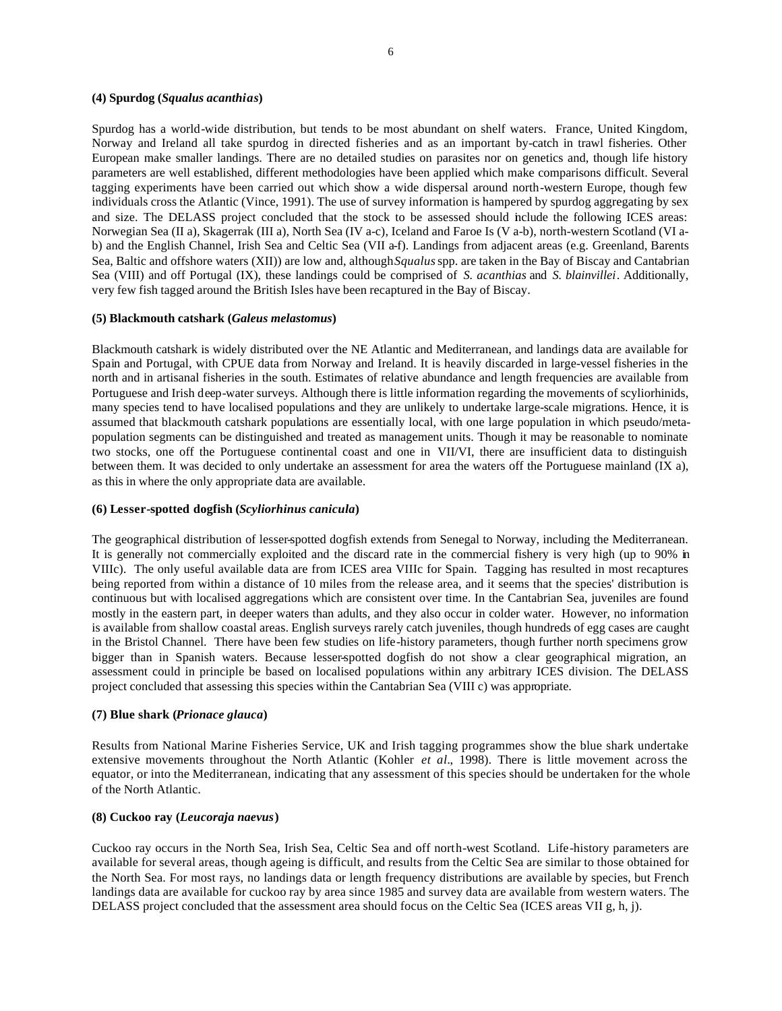### **(4) Spurdog (***Squalus acanthias***)**

Spurdog has a world-wide distribution, but tends to be most abundant on shelf waters. France, United Kingdom, Norway and Ireland all take spurdog in directed fisheries and as an important by-catch in trawl fisheries. Other European make smaller landings. There are no detailed studies on parasites nor on genetics and, though life history parameters are well established, different methodologies have been applied which make comparisons difficult. Several tagging experiments have been carried out which show a wide dispersal around north-western Europe, though few individuals cross the Atlantic (Vince, 1991). The use of survey information is hampered by spurdog aggregating by sex and size. The DELASS project concluded that the stock to be assessed should include the following ICES areas: Norwegian Sea (II a), Skagerrak (III a), North Sea (IV a-c), Iceland and Faroe Is (V a-b), north-western Scotland (VI ab) and the English Channel, Irish Sea and Celtic Sea (VII a-f). Landings from adjacent areas (e.g. Greenland, Barents Sea, Baltic and offshore waters (XII)) are low and, although *Squalus* spp. are taken in the Bay of Biscay and Cantabrian Sea (VIII) and off Portugal (IX), these landings could be comprised of *S. acanthias* and *S. blainvillei*. Additionally, very few fish tagged around the British Isles have been recaptured in the Bay of Biscay.

#### **(5) Blackmouth catshark (***Galeus melastomus***)**

Blackmouth catshark is widely distributed over the NE Atlantic and Mediterranean, and landings data are available for Spain and Portugal, with CPUE data from Norway and Ireland. It is heavily discarded in large-vessel fisheries in the north and in artisanal fisheries in the south. Estimates of relative abundance and length frequencies are available from Portuguese and Irish deep-water surveys. Although there is little information regarding the movements of scyliorhinids, many species tend to have localised populations and they are unlikely to undertake large-scale migrations. Hence, it is assumed that blackmouth catshark populations are essentially local, with one large population in which pseudo/metapopulation segments can be distinguished and treated as management units. Though it may be reasonable to nominate two stocks, one off the Portuguese continental coast and one in VII/VI, there are insufficient data to distinguish between them. It was decided to only undertake an assessment for area the waters off the Portuguese mainland (IX a), as this in where the only appropriate data are available.

### **(6) Lesser-spotted dogfish (***Scyliorhinus canicula***)**

The geographical distribution of lesser-spotted dogfish extends from Senegal to Norway, including the Mediterranean. It is generally not commercially exploited and the discard rate in the commercial fishery is very high (up to 90% in VIIIc). The only useful available data are from ICES area VIIIc for Spain. Tagging has resulted in most recaptures being reported from within a distance of 10 miles from the release area, and it seems that the species' distribution is continuous but with localised aggregations which are consistent over time. In the Cantabrian Sea, juveniles are found mostly in the eastern part, in deeper waters than adults, and they also occur in colder water. However, no information is available from shallow coastal areas. English surveys rarely catch juveniles, though hundreds of egg cases are caught in the Bristol Channel. There have been few studies on life-history parameters, though further north specimens grow bigger than in Spanish waters. Because lesser-spotted dogfish do not show a clear geographical migration, an assessment could in principle be based on localised populations within any arbitrary ICES division. The DELASS project concluded that assessing this species within the Cantabrian Sea (VIII c) was appropriate.

## **(7) Blue shark (***Prionace glauca***)**

Results from National Marine Fisheries Service, UK and Irish tagging programmes show the blue shark undertake extensive movements throughout the North Atlantic (Kohler *et al.*, 1998). There is little movement across the equator, or into the Mediterranean, indicating that any assessment of this species should be undertaken for the whole of the North Atlantic.

#### **(8) Cuckoo ray (***Leucoraja naevus***)**

Cuckoo ray occurs in the North Sea, Irish Sea, Celtic Sea and off north-west Scotland. Life-history parameters are available for several areas, though ageing is difficult, and results from the Celtic Sea are similar to those obtained for the North Sea. For most rays, no landings data or length frequency distributions are available by species, but French landings data are available for cuckoo ray by area since 1985 and survey data are available from western waters. The DELASS project concluded that the assessment area should focus on the Celtic Sea (ICES areas VII g, h, j).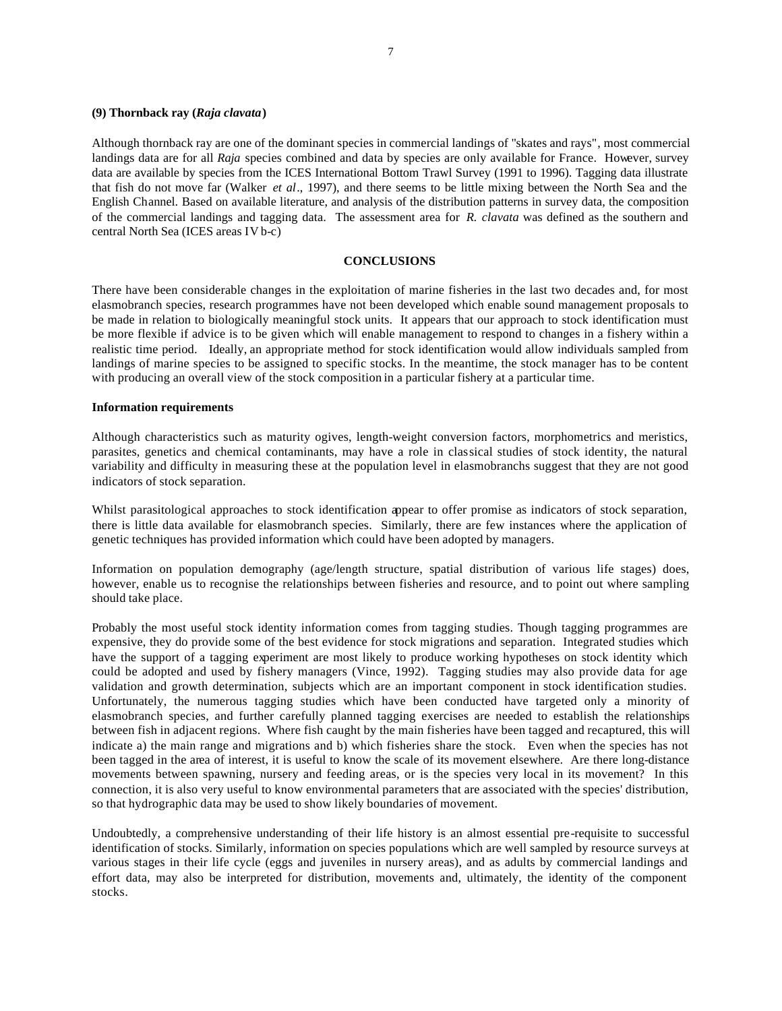### **(9) Thornback ray (***Raja clavata***)**

Although thornback ray are one of the dominant species in commercial landings of "skates and rays", most commercial landings data are for all *Raja* species combined and data by species are only available for France. However, survey data are available by species from the ICES International Bottom Trawl Survey (1991 to 1996). Tagging data illustrate that fish do not move far (Walker *et al*., 1997), and there seems to be little mixing between the North Sea and the English Channel. Based on available literature, and analysis of the distribution patterns in survey data, the composition of the commercial landings and tagging data. The assessment area for *R. clavata* was defined as the southern and central North Sea (ICES areas IV b-c)

### **CONCLUSIONS**

There have been considerable changes in the exploitation of marine fisheries in the last two decades and, for most elasmobranch species, research programmes have not been developed which enable sound management proposals to be made in relation to biologically meaningful stock units. It appears that our approach to stock identification must be more flexible if advice is to be given which will enable management to respond to changes in a fishery within a realistic time period. Ideally, an appropriate method for stock identification would allow individuals sampled from landings of marine species to be assigned to specific stocks. In the meantime, the stock manager has to be content with producing an overall view of the stock composition in a particular fishery at a particular time.

#### **Information requirements**

Although characteristics such as maturity ogives, length-weight conversion factors, morphometrics and meristics, parasites, genetics and chemical contaminants, may have a role in classical studies of stock identity, the natural variability and difficulty in measuring these at the population level in elasmobranchs suggest that they are not good indicators of stock separation.

Whilst parasitological approaches to stock identification appear to offer promise as indicators of stock separation, there is little data available for elasmobranch species. Similarly, there are few instances where the application of genetic techniques has provided information which could have been adopted by managers.

Information on population demography (age/length structure, spatial distribution of various life stages) does, however, enable us to recognise the relationships between fisheries and resource, and to point out where sampling should take place.

Probably the most useful stock identity information comes from tagging studies. Though tagging programmes are expensive, they do provide some of the best evidence for stock migrations and separation. Integrated studies which have the support of a tagging experiment are most likely to produce working hypotheses on stock identity which could be adopted and used by fishery managers (Vince, 1992). Tagging studies may also provide data for age validation and growth determination, subjects which are an important component in stock identification studies. Unfortunately, the numerous tagging studies which have been conducted have targeted only a minority of elasmobranch species, and further carefully planned tagging exercises are needed to establish the relationships between fish in adjacent regions. Where fish caught by the main fisheries have been tagged and recaptured, this will indicate a) the main range and migrations and b) which fisheries share the stock. Even when the species has not been tagged in the area of interest, it is useful to know the scale of its movement elsewhere. Are there long-distance movements between spawning, nursery and feeding areas, or is the species very local in its movement? In this connection, it is also very useful to know environmental parameters that are associated with the species' distribution, so that hydrographic data may be used to show likely boundaries of movement.

Undoubtedly, a comprehensive understanding of their life history is an almost essential pre-requisite to successful identification of stocks. Similarly, information on species populations which are well sampled by resource surveys at various stages in their life cycle (eggs and juveniles in nursery areas), and as adults by commercial landings and effort data, may also be interpreted for distribution, movements and, ultimately, the identity of the component stocks.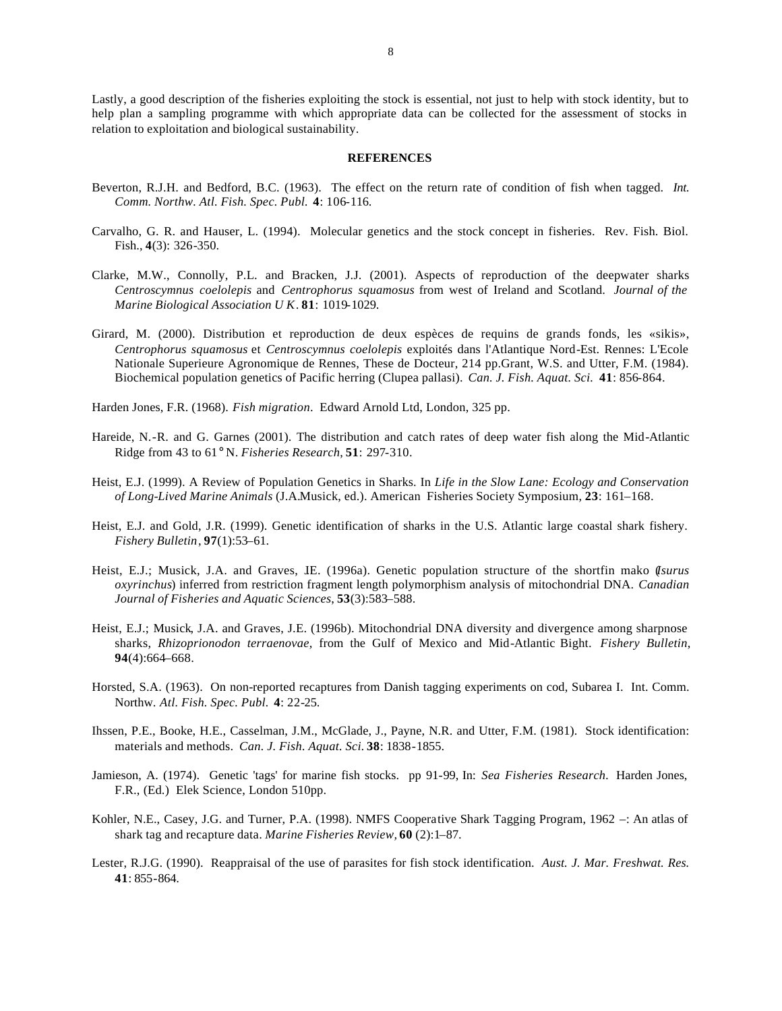Lastly, a good description of the fisheries exploiting the stock is essential, not just to help with stock identity, but to help plan a sampling programme with which appropriate data can be collected for the assessment of stocks in relation to exploitation and biological sustainability.

#### **REFERENCES**

- Beverton, R.J.H. and Bedford, B.C. (1963). The effect on the return rate of condition of fish when tagged. *Int. Comm. Northw. Atl. Fish. Spec. Publ.* **4**: 106-116.
- Carvalho, G. R. and Hauser, L. (1994). Molecular genetics and the stock concept in fisheries. Rev. Fish. Biol. Fish., **4**(3): 326-350.
- Clarke, M.W., Connolly, P.L. and Bracken, J.J. (2001). Aspects of reproduction of the deepwater sharks *Centroscymnus coelolepis* and *Centrophorus squamosus* from west of Ireland and Scotland. *Journal of the Marine Biological Association U K*. **81**: 1019-1029.
- Girard, M. (2000). Distribution et reproduction de deux espèces de requins de grands fonds, les «sikis», *Centrophorus squamosus* et *Centroscymnus coelolepis* exploités dans l'Atlantique Nord-Est. Rennes: L'Ecole Nationale Superieure Agronomique de Rennes, These de Docteur, 214 pp.Grant, W.S. and Utter, F.M. (1984). Biochemical population genetics of Pacific herring (Clupea pallasi). *Can. J. Fish. Aquat. Sci.* **41**: 856-864.

Harden Jones, F.R. (1968). *Fish migration*. Edward Arnold Ltd, London, 325 pp.

- Hareide, N.-R. and G. Garnes (2001). The distribution and catch rates of deep water fish along the Mid-Atlantic Ridge from 43 to 61° N. *Fisheries Research*, **51**: 297-310.
- Heist, E.J. (1999). A Review of Population Genetics in Sharks. In *Life in the Slow Lane: Ecology and Conservation of Long-Lived Marine Animals* (J.A.Musick, ed.). American Fisheries Society Symposium, **23**: 161–168.
- Heist, E.J. and Gold, J.R. (1999). Genetic identification of sharks in the U.S. Atlantic large coastal shark fishery. *Fishery Bulletin*, **97**(1):53–61.
- Heist, E.J.; Musick, J.A. and Graves, J.E. (1996a). Genetic population structure of the shortfin mako (*Isurus oxyrinchus*) inferred from restriction fragment length polymorphism analysis of mitochondrial DNA. *Canadian Journal of Fisheries and Aquatic Sciences*, **53**(3):583–588.
- Heist, E.J.; Musick, J.A. and Graves, J.E. (1996b). Mitochondrial DNA diversity and divergence among sharpnose sharks, *Rhizoprionodon terraenovae*, from the Gulf of Mexico and Mid-Atlantic Bight. *Fishery Bulletin*, **94**(4):664–668.
- Horsted, S.A. (1963). On non-reported recaptures from Danish tagging experiments on cod, Subarea I. Int. Comm. Northw. *Atl. Fish. Spec. Publ.* **4**: 22-25.
- Ihssen, P.E., Booke, H.E., Casselman, J.M., McGlade, J., Payne, N.R. and Utter, F.M. (1981). Stock identification: materials and methods. *Can. J. Fish. Aquat. Sci.* **38**: 1838-1855.
- Jamieson, A. (1974). Genetic 'tags' for marine fish stocks. pp 91-99, In: *Sea Fisheries Research.* Harden Jones, F.R., (Ed.) Elek Science, London 510pp.
- Kohler, N.E., Casey, J.G. and Turner, P.A. (1998). NMFS Cooperative Shark Tagging Program, 1962 –: An atlas of shark tag and recapture data. *Marine Fisheries Review,* **60** (2):1–87.
- Lester, R.J.G. (1990). Reappraisal of the use of parasites for fish stock identification. *Aust. J. Mar. Freshwat. Res.* **41**: 855-864.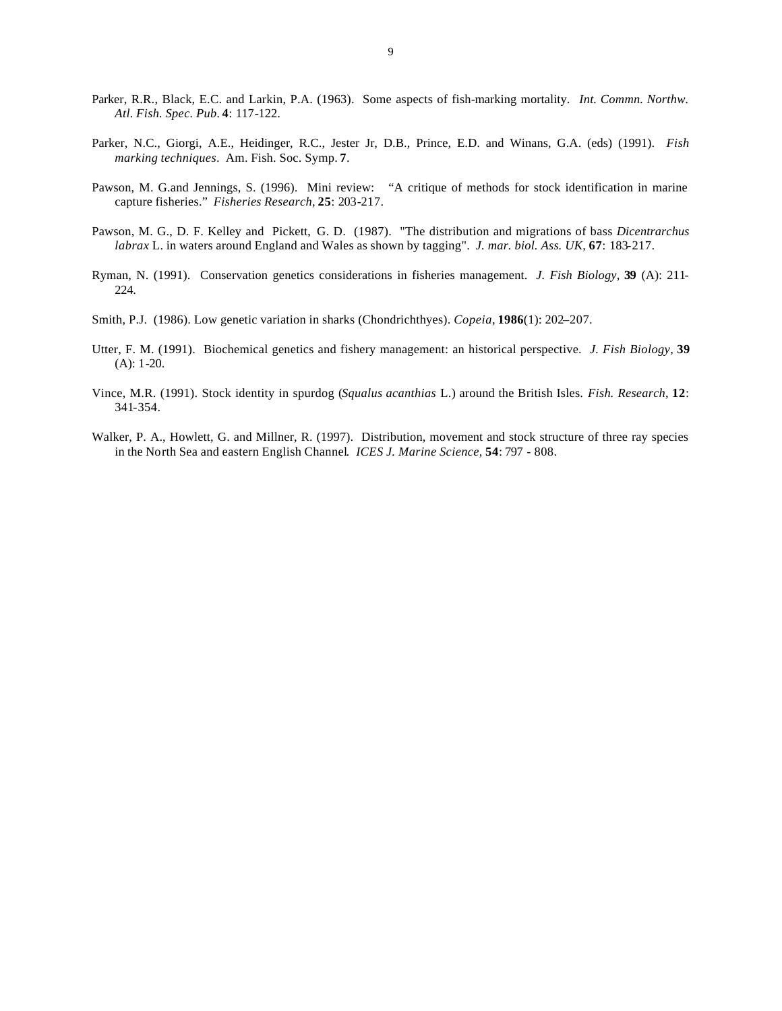- Parker, R.R., Black, E.C. and Larkin, P.A. (1963). Some aspects of fish-marking mortality. *Int. Commn. Northw. Atl. Fish. Spec. Pub.* **4**: 117-122.
- Parker, N.C., Giorgi, A.E., Heidinger, R.C., Jester Jr, D.B., Prince, E.D. and Winans, G.A. (eds) (1991). *Fish marking techniques*. Am. Fish. Soc. Symp. **7**.
- Pawson, M. G.and Jennings, S. (1996). Mini review: "A critique of methods for stock identification in marine capture fisheries." *Fisheries Research*, **25**: 203-217.
- Pawson, M. G., D. F. Kelley and Pickett, G. D. (1987). "The distribution and migrations of bass *Dicentrarchus labrax* L. in waters around England and Wales as shown by tagging". *J. mar. biol. Ass. UK,* **67**: 183-217.
- Ryman, N. (1991). Conservation genetics considerations in fisheries management. *J. Fish Biology*, **39** (A): 211- 224.
- Smith, P.J. (1986). Low genetic variation in sharks (Chondrichthyes). *Copeia*, **1986**(1): 202–207.
- Utter, F. M. (1991). Biochemical genetics and fishery management: an historical perspective. *J. Fish Biology*, **39** (A): 1-20.
- Vince, M.R. (1991). Stock identity in spurdog (*Squalus acanthias* L.) around the British Isles. *Fish. Research*, **12**: 341-354.
- Walker, P. A., Howlett, G. and Millner, R. (1997). Distribution, movement and stock structure of three ray species in the North Sea and eastern English Channel*. ICES J. Marine Science,* **54**: 797 - 808.